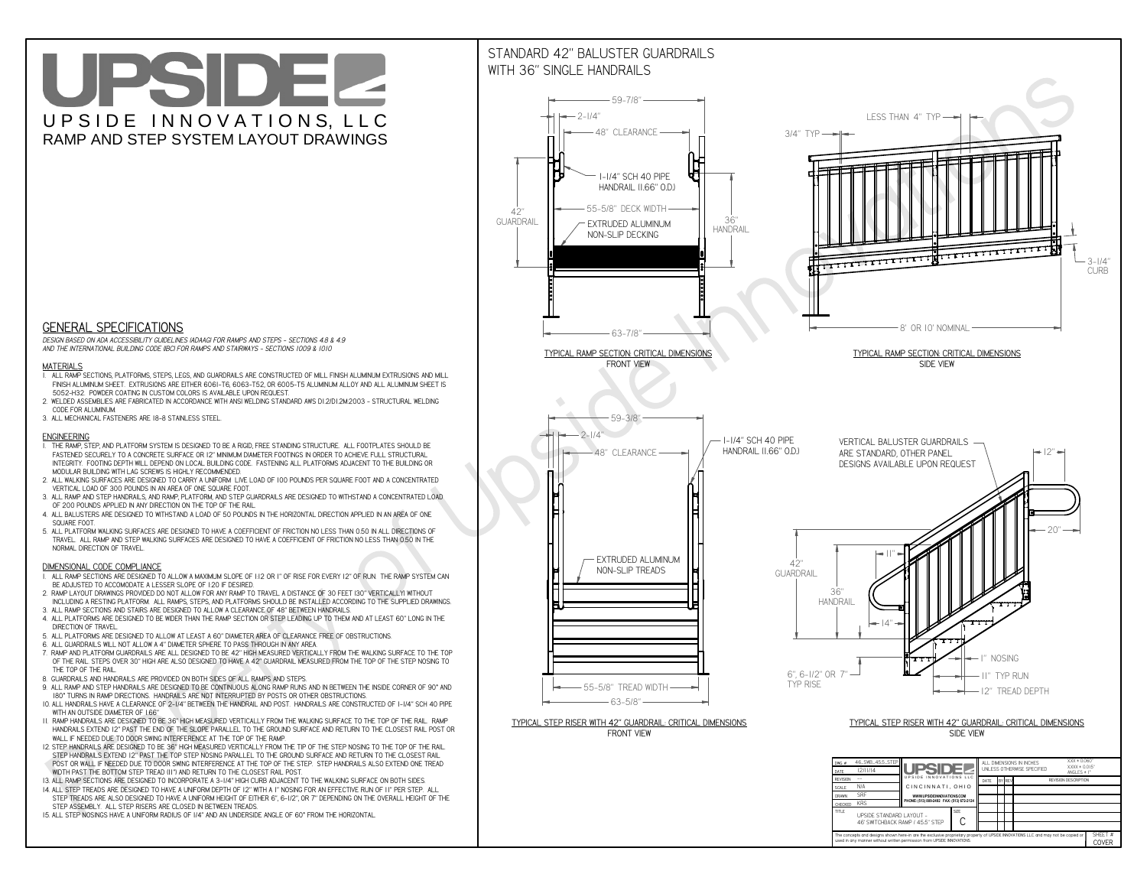**CThe concepts and designs shown here-in are the exclusive proprietary property of UPSIDE INNOVATIONS LLC. and may not be copied or**

**H** 

**used in any manner without written permission from UPSIDE INNOVATIONS.**

# UPSIDEL UPSIDE INNOVATIONS, LLC RAMP AND STEP SYSTEM LAYOUT DRAWINGS

SHEET #**COVER**

46' SWITCHBACK RAMP / 45.5" STEP



**TITLE UPSIDE STANDARD LAYOUT -**

# WITH 36" SINGLE HANDRAILS



 *DESIGN BASED ON ADA ACCESSIBILITY GUIDELINES (ADAAG) FOR RAMPS AND STEPS - SECTIONS 4.8 & 4.9AND THE INTERNATIONAL BUILDING CODE (IBC) FOR RAMPS AND STAIRWAYS - SECTIONS 1009 & 1010*

### **MATERIALS**

- **1. ALL RAMP SECTIONS, PLATFORMS, STEPS, LEGS, AND GUARDRAILS ARE CONSTRUCTED OF MILL FINISH ALUMINUM EXTRUSIONS AND MILL FINISH ALUMINUM SHEET. EXTRUSIONS ARE EITHER 6061-T6, 6063-T52, OR 6005-T5 ALUMINUM ALLOY AND ALL ALUMINUM SHEET IS 5052-H32. POWDER COATING IN CUSTOM COLORS IS AVAILABLE UPON REQUEST.**
- **2. WELDED ASSEMBLIES ARE FABRICATED IN ACCORDANCE WITH ANSI WELDING STANDARD AWS D1.2/D1.2M:2003 STRUCTURAL WELDING CODE FOR ALUMINUM.**
- **3. ALL MECHANICAL FASTENERS ARE 18-8 STAINLESS STEEL.**

#### **ENGINEERING**

- **1. THE RAMP, STEP, AND PLATFORM SYSTEM IS DESIGNED TO BE A RIGID, FREE STANDING STRUCTURE. ALL FOOTPLATES SHOULD BE FASTENED SECURELY TO A CONCRETE SURFACE OR 12" MINIMUM DIAMETER FOOTINGS IN ORDER TO ACHIEVE FULL STRUCTURAL INTEGRITY. FOOTING DEPTH WILL DEPEND ON LOCAL BUILDING CODE. FASTENING ALL PLATFORMS ADJACENT TO THE BUILDING OR MODULAR BUILDING WITH LAG SCREWS IS HIGHLY RECOMMENDED.**
- **2. ALL WALKING SURFACES ARE DESIGNED TO CARRY A UNIFORM LIVE LOAD OF 100 POUNDS PER SQUARE FOOT AND A CONCENTRATED VERTICAL LOAD OF 300 POUNDS IN AN AREA OF ONE SQUARE FOOT.**
- **3. ALL RAMP AND STEP HANDRAILS, AND RAMP, PLATFORM, AND STEP GUARDRAILS ARE DESIGNED TO WITHSTAND A CONCENTRATED LOAD OF 200 POUNDS APPLIED IN ANY DIRECTION ON THE TOP OF THE RAIL.**
- **4. ALL BALUSTERS ARE DESIGNED TO WITHSTAND A LOAD OF 50 POUNDS IN THE HORIZONTAL DIRECTION APPLIED IN AN AREA OF ONE SQUARE FOOT.**
- **5. ALL PLATFORM WALKING SURFACES ARE DESIGNED TO HAVE A COEFFICIENT OF FRICTION NO LESS THAN 0.50 IN ALL DIRECTIONS OF TRAVEL. ALL RAMP AND STEP WALKING SURFACES ARE DESIGNED TO HAVE A COEFFICIENT OF FRICTION NO LESS THAN 0.50 IN THE NORMAL DIRECTION OF TRAVEL.**

### **DIMENSIONAL CODE COMPLIANCE**

- **1. ALL RAMP SECTIONS ARE DESIGNED TO ALLOW A MAXIMUM SLOPE OF 1:12 OR 1" OF RISE FOR EVERY 12" OF RUN. THE RAMP SYSTEM CAN BE ADJUSTED TO ACCOMODATE A LESSER SLOPE OF 1:20 IF DESIRED.**
- **2. RAMP LAYOUT DRAWINGS PROVIDED DO NOT ALLOW FOR ANY RAMP TO TRAVEL A DISTANCE OF 30 FEET (30" VERTICALLY) WITHOUT INCLUDING A RESTING PLATFORM. ALL RAMPS, STEPS, AND PLATFORMS SHOULD BE INSTALLED ACCORDING TO THE SUPPLIED DRAWINGS.**
- **3. ALL RAMP SECTIONS AND STAIRS ARE DESIGNED TO ALLOW A CLEARANCE OF 48" BETWEEN HANDRAILS.**
- **4. ALL PLATFORMS ARE DESIGNED TO BE WIDER THAN THE RAMP SECTION OR STEP LEADING UP TO THEM AND AT LEAST 60" LONG IN THE DIRECTION OF TRAVEL.**
- **5. ALL PLATFORMS ARE DESIGNED TO ALLOW AT LEAST A 60" DIAMETER AREA OF CLEARANCE FREE OF OBSTRUCTIONS.**
- **6. ALL GUARDRAILS WILL NOT ALLOW A 4" DIAMETER SPHERE TO PASS THROUGH IN ANY AREA.**
- **7. RAMP AND PLATFORM GUARDRAILS ARE ALL DESIGNED TO BE 42" HIGH MEASURED VERTICALLY FROM THE WALKING SURFACE TO THE TOP OF THE RAIL. STEPS OVER 30" HIGH ARE ALSO DESIGNED TO HAVE A 42" GUARDRAIL MEASURED FROM THE TOP OF THE STEP NOSING TO THE TOP OF THE RAIL.**
- **8. GUARDRAILS AND HANDRAILS ARE PROVIDED ON BOTH SIDES OF ALL RAMPS AND STEPS.**
- **9. ALL RAMP AND STEP HANDRAILS ARE DESIGNED TO BE CONTINUOUS ALONG RAMP RUNS AND IN BETWEEN THE INSIDE CORNER OF 90° AND 180° TURNS IN RAMP DIRECTIONS. HANDRAILS ARE NOT INTERRUPTED BY POSTS OR OTHER OBSTRUCTIONS.**
- **10. ALL HANDRAILS HAVE A CLEARANCE OF 2-1/4" BETWEEN THE HANDRAIL AND POST. HANDRAILS ARE CONSTRUCTED OF 1-1/4" SCH 40 PIPE WITH AN OUTSIDE DIAMETER OF 1.66"**
- **11. RAMP HANDRAILS ARE DESIGNED TO BE 36" HIGH MEASURED VERTICALLY FROM THE WALKING SURFACE TO THE TOP OF THE RAIL. RAMP HANDRAILS EXTEND 12" PAST THE END OF THE SLOPE PARALLEL TO THE GROUND SURFACE AND RETURN TO THE CLOSEST RAIL POST OR WALL IF NEEDED DUE TO DOOR SWING INTERFERENCE AT THE TOP OF THE RAMP.**
- **12. STEP HANDRAILS ARE DESIGNED TO BE 36" HIGH MEASURED VERTICALLY FROM THE TIP OF THE STEP NOSING TO THE TOP OF THE RAIL. STEP HANDRAILS EXTEND 12" PAST THE TOP STEP NOSING PARALLEL TO THE GROUND SURFACE AND RETURN TO THE CLOSEST RAIL POST OR WALL IF NEEDED DUE TO DOOR SWING INTERFERENCE AT THE TOP OF THE STEP. STEP HANDRAILS ALSO EXTEND ONE TREAD WIDTH PAST THE BOTTOM STEP TREAD (11") AND RETURN TO THE CLOSEST RAIL POST.**
- **13. ALL RAMP SECTIONS ARE DESIGNED TO INCORPORATE A 3-1/4" HIGH CURB ADJACENT TO THE WALKING SURFACE ON BOTH SIDES.**
- **14. ALL STEP TREADS ARE DESIGNED TO HAVE A UNIFORM DEPTH OF 12" WITH A 1" NOSING FOR AN EFFECTIVE RUN OF 11" PER STEP. ALL**
- **STEP TREADS ARE ALSO DESIGNED TO HAVE A UNIFORM HEIGHT OF EITHER 6", 6-1/2", OR 7" DEPENDING ON THE OVERALL HEIGHT OF THE STEP ASSEMBLY. ALL STEP RISERS ARE CLOSED IN BETWEEN TREADS.**
- **15. ALL STEP NOSINGS HAVE A UNIFORM RADIUS OF 1/4" AND AN UNDERSIDE ANGLE OF 60° FROM THE HORIZONTAL.**